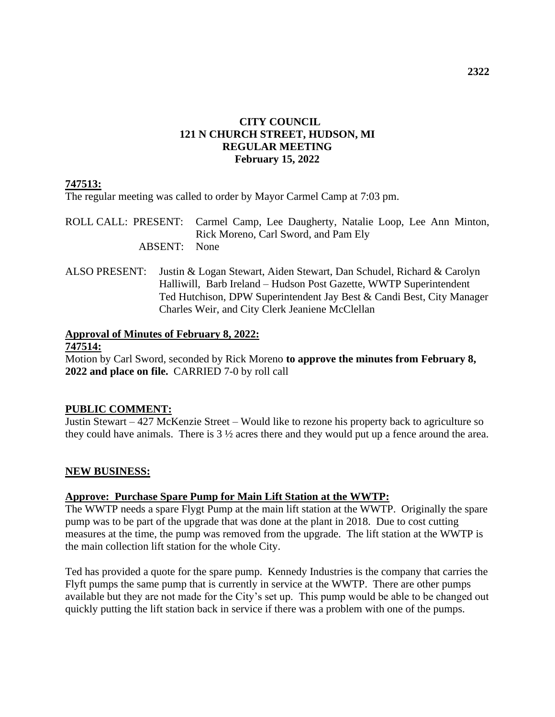## **CITY COUNCIL 121 N CHURCH STREET, HUDSON, MI REGULAR MEETING February 15, 2022**

# **747513:**

The regular meeting was called to order by Mayor Carmel Camp at 7:03 pm.

ROLL CALL: PRESENT: Carmel Camp, Lee Daugherty, Natalie Loop, Lee Ann Minton, Rick Moreno, Carl Sword, and Pam Ely ABSENT: None

ALSO PRESENT: Justin & Logan Stewart, Aiden Stewart, Dan Schudel, Richard & Carolyn Halliwill, Barb Ireland – Hudson Post Gazette, WWTP Superintendent Ted Hutchison, DPW Superintendent Jay Best & Candi Best, City Manager Charles Weir, and City Clerk Jeaniene McClellan

### **Approval of Minutes of February 8, 2022: 747514:**

Motion by Carl Sword, seconded by Rick Moreno **to approve the minutes from February 8, 2022 and place on file.** CARRIED 7-0 by roll call

### **PUBLIC COMMENT:**

Justin Stewart – 427 McKenzie Street – Would like to rezone his property back to agriculture so they could have animals. There is 3 ½ acres there and they would put up a fence around the area.

### **NEW BUSINESS:**

### **Approve: Purchase Spare Pump for Main Lift Station at the WWTP:**

The WWTP needs a spare Flygt Pump at the main lift station at the WWTP. Originally the spare pump was to be part of the upgrade that was done at the plant in 2018. Due to cost cutting measures at the time, the pump was removed from the upgrade. The lift station at the WWTP is the main collection lift station for the whole City.

Ted has provided a quote for the spare pump. Kennedy Industries is the company that carries the Flyft pumps the same pump that is currently in service at the WWTP. There are other pumps available but they are not made for the City's set up. This pump would be able to be changed out quickly putting the lift station back in service if there was a problem with one of the pumps.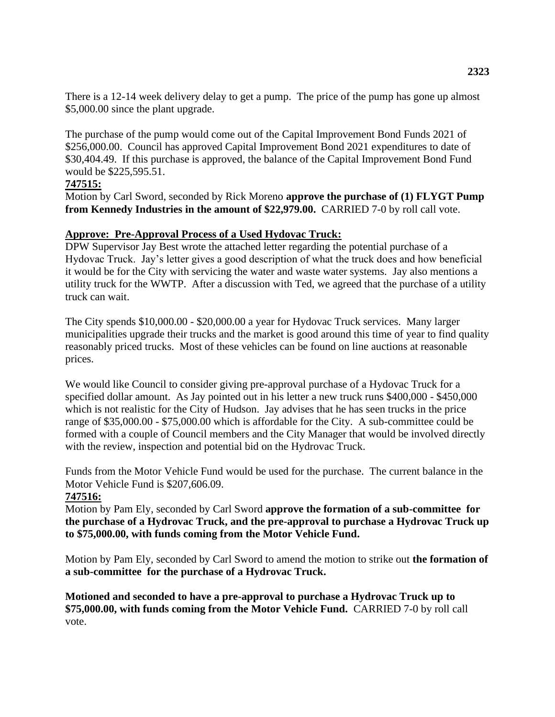There is a 12-14 week delivery delay to get a pump. The price of the pump has gone up almost \$5,000.00 since the plant upgrade.

The purchase of the pump would come out of the Capital Improvement Bond Funds 2021 of \$256,000.00. Council has approved Capital Improvement Bond 2021 expenditures to date of \$30,404.49. If this purchase is approved, the balance of the Capital Improvement Bond Fund would be \$225,595.51.

# **747515:**

Motion by Carl Sword, seconded by Rick Moreno **approve the purchase of (1) FLYGT Pump from Kennedy Industries in the amount of \$22,979.00.** CARRIED 7-0 by roll call vote.

# **Approve: Pre-Approval Process of a Used Hydovac Truck:**

DPW Supervisor Jay Best wrote the attached letter regarding the potential purchase of a Hydovac Truck. Jay's letter gives a good description of what the truck does and how beneficial it would be for the City with servicing the water and waste water systems. Jay also mentions a utility truck for the WWTP. After a discussion with Ted, we agreed that the purchase of a utility truck can wait.

The City spends \$10,000.00 - \$20,000.00 a year for Hydovac Truck services. Many larger municipalities upgrade their trucks and the market is good around this time of year to find quality reasonably priced trucks. Most of these vehicles can be found on line auctions at reasonable prices.

We would like Council to consider giving pre-approval purchase of a Hydovac Truck for a specified dollar amount. As Jay pointed out in his letter a new truck runs \$400,000 - \$450,000 which is not realistic for the City of Hudson. Jay advises that he has seen trucks in the price range of \$35,000.00 - \$75,000.00 which is affordable for the City. A sub-committee could be formed with a couple of Council members and the City Manager that would be involved directly with the review, inspection and potential bid on the Hydrovac Truck.

Funds from the Motor Vehicle Fund would be used for the purchase. The current balance in the Motor Vehicle Fund is \$207,606.09.

# **747516:**

Motion by Pam Ely, seconded by Carl Sword **approve the formation of a sub-committee for the purchase of a Hydrovac Truck, and the pre-approval to purchase a Hydrovac Truck up to \$75,000.00, with funds coming from the Motor Vehicle Fund.** 

Motion by Pam Ely, seconded by Carl Sword to amend the motion to strike out **the formation of a sub-committee for the purchase of a Hydrovac Truck.**

**Motioned and seconded to have a pre-approval to purchase a Hydrovac Truck up to \$75,000.00, with funds coming from the Motor Vehicle Fund.** CARRIED 7-0 by roll call vote.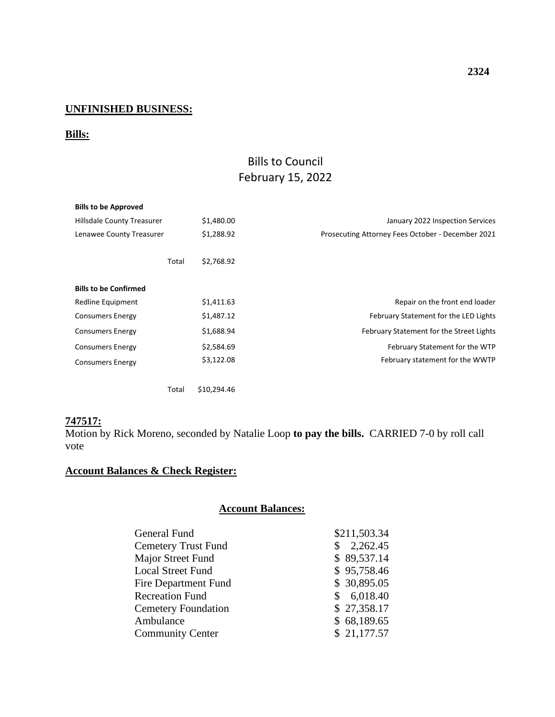## **UNFINISHED BUSINESS:**

### **Bills:**

# Bills to Council February 15, 2022

| <b>Bills to be Approved</b>       |       |             |                                                   |
|-----------------------------------|-------|-------------|---------------------------------------------------|
| <b>Hillsdale County Treasurer</b> |       | \$1,480.00  | January 2022 Inspection Services                  |
| Lenawee County Treasurer          |       | \$1,288.92  | Prosecuting Attorney Fees October - December 2021 |
|                                   | Total | \$2,768.92  |                                                   |
| <b>Bills to be Confirmed</b>      |       |             |                                                   |
| Redline Equipment                 |       | \$1,411.63  | Repair on the front end loader                    |
| <b>Consumers Energy</b>           |       | \$1,487.12  | February Statement for the LED Lights             |
| <b>Consumers Energy</b>           |       | \$1,688.94  | February Statement for the Street Lights          |
| <b>Consumers Energy</b>           |       | \$2,584.69  | February Statement for the WTP                    |
| <b>Consumers Energy</b>           |       | \$3,122.08  | February statement for the WWTP                   |
|                                   | Total | \$10,294.46 |                                                   |

# **747517:**

Motion by Rick Moreno, seconded by Natalie Loop **to pay the bills.** CARRIED 7-0 by roll call vote

# **Account Balances & Check Register:**

## **Account Balances:**

| General Fund               | \$211,503.34   |
|----------------------------|----------------|
| <b>Cemetery Trust Fund</b> | 2,262.45       |
| Major Street Fund          | \$89,537.14    |
| <b>Local Street Fund</b>   | \$95,758.46    |
| Fire Department Fund       | \$30,895.05    |
| <b>Recreation Fund</b>     | 6,018.40<br>S. |
| <b>Cemetery Foundation</b> | \$27,358.17    |
| Ambulance                  | \$68,189.65    |
| <b>Community Center</b>    | \$21,177.57    |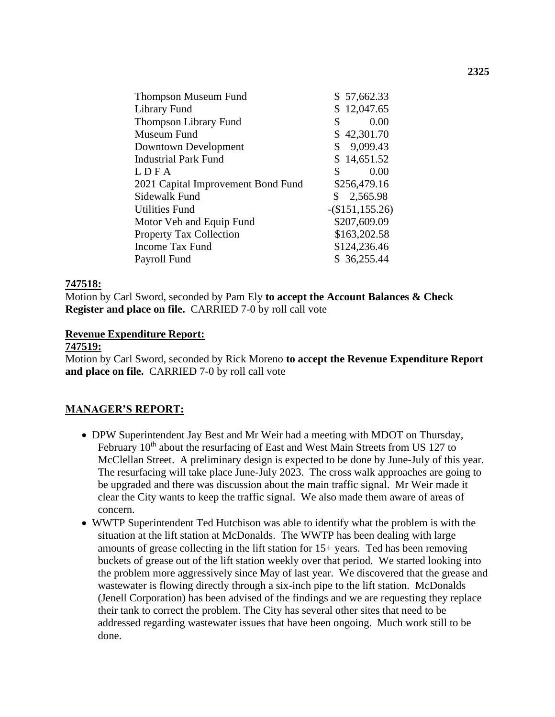| <b>Thompson Museum Fund</b>        | \$57,662.33       |
|------------------------------------|-------------------|
| Library Fund                       | 12,047.65         |
| <b>Thompson Library Fund</b>       | \$<br>0.00        |
| Museum Fund                        | \$42,301.70       |
| Downtown Development               | 9,099.43<br>\$    |
| <b>Industrial Park Fund</b>        | \$14,651.52       |
| LDFA                               | \$<br>0.00        |
| 2021 Capital Improvement Bond Fund | \$256,479.16      |
| Sidewalk Fund                      | \$2,565.98        |
| Utilities Fund                     | $-(\$151,155.26)$ |
| Motor Veh and Equip Fund           | \$207,609.09      |
| <b>Property Tax Collection</b>     | \$163,202.58      |
| <b>Income Tax Fund</b>             | \$124,236.46      |
| Payroll Fund                       | \$ 36,255.44      |

### **747518:**

Motion by Carl Sword, seconded by Pam Ely **to accept the Account Balances & Check Register and place on file.** CARRIED 7-0 by roll call vote

### **Revenue Expenditure Report:**

#### **747519:**

Motion by Carl Sword, seconded by Rick Moreno **to accept the Revenue Expenditure Report and place on file.** CARRIED 7-0 by roll call vote

### **MANAGER'S REPORT:**

- DPW Superintendent Jay Best and Mr Weir had a meeting with MDOT on Thursday, February 10<sup>th</sup> about the resurfacing of East and West Main Streets from US 127 to McClellan Street. A preliminary design is expected to be done by June-July of this year. The resurfacing will take place June-July 2023. The cross walk approaches are going to be upgraded and there was discussion about the main traffic signal. Mr Weir made it clear the City wants to keep the traffic signal. We also made them aware of areas of concern.
- WWTP Superintendent Ted Hutchison was able to identify what the problem is with the situation at the lift station at McDonalds. The WWTP has been dealing with large amounts of grease collecting in the lift station for 15+ years. Ted has been removing buckets of grease out of the lift station weekly over that period. We started looking into the problem more aggressively since May of last year. We discovered that the grease and wastewater is flowing directly through a six-inch pipe to the lift station. McDonalds (Jenell Corporation) has been advised of the findings and we are requesting they replace their tank to correct the problem. The City has several other sites that need to be addressed regarding wastewater issues that have been ongoing. Much work still to be done.